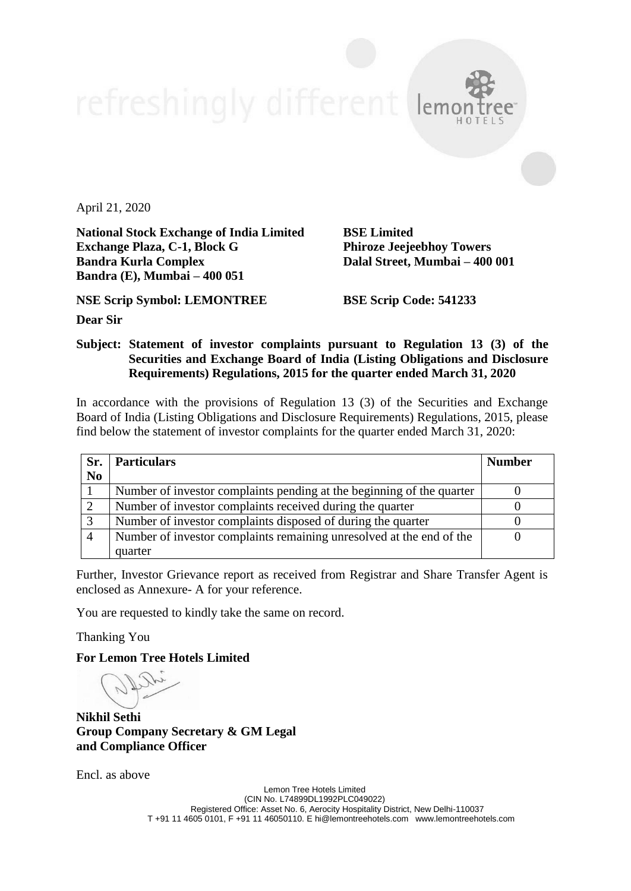April 21, 2020

**National Stock Exchange of India Limited BSE Limited Exchange Plaza, C-1, Block G Phiroze Jeejeebhoy Towers Bandra Kurla Complex Dalal Street, Mumbai – 400 001 Bandra (E), Mumbai – 400 051**

**NSE Scrip Symbol: LEMONTREE BSE Scrip Code: 541233**

**Dear Sir**

## **Subject: Statement of investor complaints pursuant to Regulation 13 (3) of the Securities and Exchange Board of India (Listing Obligations and Disclosure Requirements) Regulations, 2015 for the quarter ended March 31, 2020**

In accordance with the provisions of Regulation 13 (3) of the Securities and Exchange Board of India (Listing Obligations and Disclosure Requirements) Regulations, 2015, please find below the statement of investor complaints for the quarter ended March 31, 2020:

| Sr.            | <b>Particulars</b>                                                    | <b>Number</b> |
|----------------|-----------------------------------------------------------------------|---------------|
| N <sub>0</sub> |                                                                       |               |
|                | Number of investor complaints pending at the beginning of the quarter |               |
| 2              | Number of investor complaints received during the quarter             |               |
|                | Number of investor complaints disposed of during the quarter          |               |
| $\overline{4}$ | Number of investor complaints remaining unresolved at the end of the  |               |
|                | quarter                                                               |               |

Further, Investor Grievance report as received from Registrar and Share Transfer Agent is enclosed as Annexure- A for your reference.

You are requested to kindly take the same on record.

Thanking You

**For Lemon Tree Hotels Limited**

**Nikhil Sethi Group Company Secretary & GM Legal and Compliance Officer**

Encl. as above